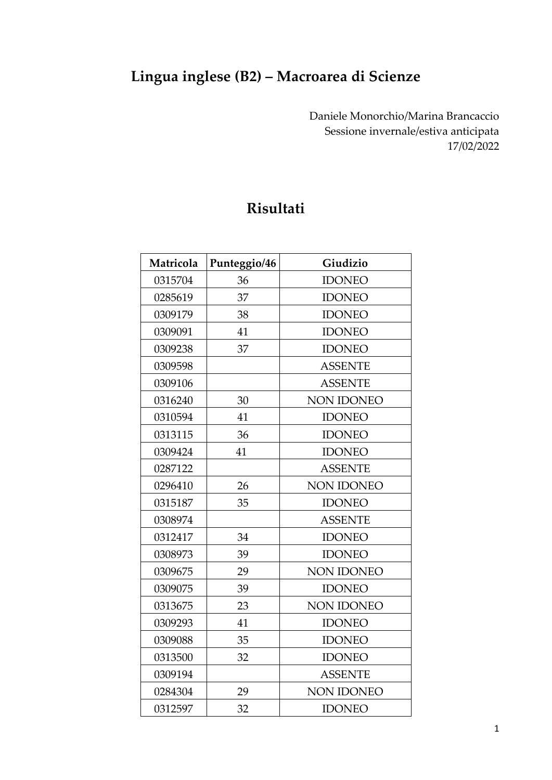## **Lingua inglese (B2) – Macroarea di Scienze**

Daniele Monorchio/Marina Brancaccio Sessione invernale/estiva anticipata 17/02/2022

## **Risultati**

| Matricola | Punteggio/46 | Giudizio          |
|-----------|--------------|-------------------|
| 0315704   | 36           | <b>IDONEO</b>     |
| 0285619   | 37           | <b>IDONEO</b>     |
| 0309179   | 38           | <b>IDONEO</b>     |
| 0309091   | 41           | <b>IDONEO</b>     |
| 0309238   | 37           | <b>IDONEO</b>     |
| 0309598   |              | <b>ASSENTE</b>    |
| 0309106   |              | <b>ASSENTE</b>    |
| 0316240   | 30           | <b>NON IDONEO</b> |
| 0310594   | 41           | <b>IDONEO</b>     |
| 0313115   | 36           | <b>IDONEO</b>     |
| 0309424   | 41           | <b>IDONEO</b>     |
| 0287122   |              | <b>ASSENTE</b>    |
| 0296410   | 26           | <b>NON IDONEO</b> |
| 0315187   | 35           | <b>IDONEO</b>     |
| 0308974   |              | <b>ASSENTE</b>    |
| 0312417   | 34           | <b>IDONEO</b>     |
| 0308973   | 39           | <b>IDONEO</b>     |
| 0309675   | 29           | NON IDONEO        |
| 0309075   | 39           | <b>IDONEO</b>     |
| 0313675   | 23           | <b>NON IDONEO</b> |
| 0309293   | 41           | <b>IDONEO</b>     |
| 0309088   | 35           | <b>IDONEO</b>     |
| 0313500   | 32           | <b>IDONEO</b>     |
| 0309194   |              | <b>ASSENTE</b>    |
| 0284304   | 29           | <b>NON IDONEO</b> |
| 0312597   | 32           | <b>IDONEO</b>     |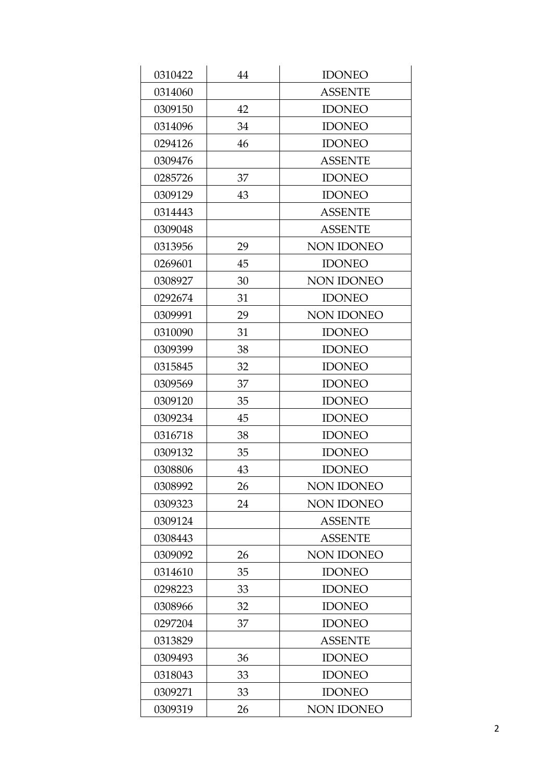| 0310422 | 44 | <b>IDONEO</b>     |
|---------|----|-------------------|
| 0314060 |    | <b>ASSENTE</b>    |
| 0309150 | 42 | <b>IDONEO</b>     |
| 0314096 | 34 | <b>IDONEO</b>     |
| 0294126 | 46 | <b>IDONEO</b>     |
| 0309476 |    | <b>ASSENTE</b>    |
| 0285726 | 37 | <b>IDONEO</b>     |
| 0309129 | 43 | <b>IDONEO</b>     |
| 0314443 |    | <b>ASSENTE</b>    |
| 0309048 |    | <b>ASSENTE</b>    |
| 0313956 | 29 | NON IDONEO        |
| 0269601 | 45 | <b>IDONEO</b>     |
| 0308927 | 30 | <b>NON IDONEO</b> |
| 0292674 | 31 | <b>IDONEO</b>     |
| 0309991 | 29 | NON IDONEO        |
| 0310090 | 31 | <b>IDONEO</b>     |
| 0309399 | 38 | <b>IDONEO</b>     |
| 0315845 | 32 | <b>IDONEO</b>     |
| 0309569 | 37 | <b>IDONEO</b>     |
| 0309120 | 35 | <b>IDONEO</b>     |
| 0309234 | 45 | <b>IDONEO</b>     |
| 0316718 | 38 | <b>IDONEO</b>     |
| 0309132 | 35 | <b>IDONEO</b>     |
| 0308806 | 43 | <b>IDONEO</b>     |
| 0308992 | 26 | <b>NON IDONEO</b> |
| 0309323 | 24 | <b>NON IDONEO</b> |
| 0309124 |    | <b>ASSENTE</b>    |
| 0308443 |    | <b>ASSENTE</b>    |
| 0309092 | 26 | <b>NON IDONEO</b> |
| 0314610 | 35 | <b>IDONEO</b>     |
| 0298223 | 33 | <b>IDONEO</b>     |
| 0308966 | 32 | <b>IDONEO</b>     |
| 0297204 | 37 | <b>IDONEO</b>     |
| 0313829 |    | <b>ASSENTE</b>    |
| 0309493 | 36 | <b>IDONEO</b>     |
| 0318043 | 33 | <b>IDONEO</b>     |
| 0309271 | 33 | <b>IDONEO</b>     |
| 0309319 | 26 | NON IDONEO        |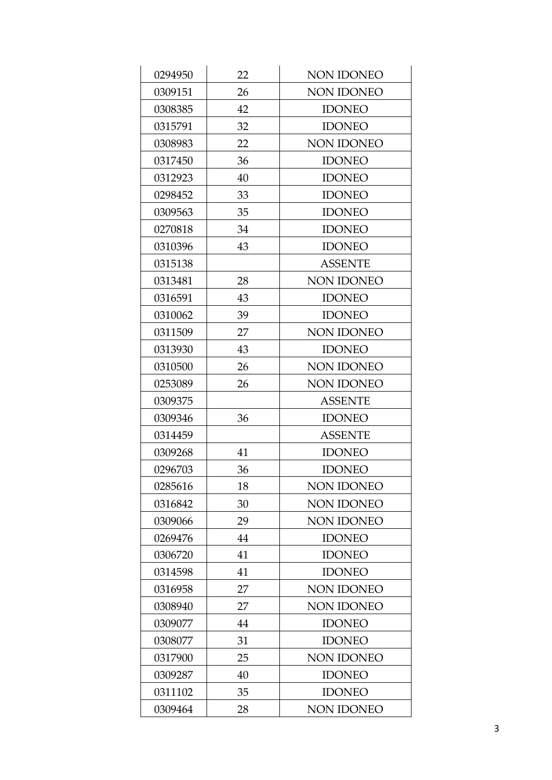| 0294950 | 22 | <b>NON IDONEO</b> |
|---------|----|-------------------|
| 0309151 | 26 | <b>NON IDONEO</b> |
| 0308385 | 42 | <b>IDONEO</b>     |
| 0315791 | 32 | <b>IDONEO</b>     |
| 0308983 | 22 | <b>NON IDONEO</b> |
| 0317450 | 36 | <b>IDONEO</b>     |
| 0312923 | 40 | <b>IDONEO</b>     |
| 0298452 | 33 | <b>IDONEO</b>     |
| 0309563 | 35 | <b>IDONEO</b>     |
| 0270818 | 34 | <b>IDONEO</b>     |
| 0310396 | 43 | <b>IDONEO</b>     |
| 0315138 |    | <b>ASSENTE</b>    |
| 0313481 | 28 | NON IDONEO        |
| 0316591 | 43 | <b>IDONEO</b>     |
| 0310062 | 39 | <b>IDONEO</b>     |
| 0311509 | 27 | <b>NON IDONEO</b> |
| 0313930 | 43 | <b>IDONEO</b>     |
| 0310500 | 26 | NON IDONEO        |
| 0253089 | 26 | <b>NON IDONEO</b> |
| 0309375 |    | <b>ASSENTE</b>    |
| 0309346 | 36 | <b>IDONEO</b>     |
| 0314459 |    | <b>ASSENTE</b>    |
| 0309268 | 41 | <b>IDONEO</b>     |
| 0296703 | 36 | <b>IDONEO</b>     |
| 0285616 | 18 | <b>NON IDONEO</b> |
| 0316842 | 30 | <b>NON IDONEO</b> |
| 0309066 | 29 | <b>NON IDONEO</b> |
| 0269476 | 44 | <b>IDONEO</b>     |
| 0306720 | 41 | <b>IDONEO</b>     |
| 0314598 | 41 | <b>IDONEO</b>     |
| 0316958 | 27 | <b>NON IDONEO</b> |
| 0308940 | 27 | <b>NON IDONEO</b> |
| 0309077 | 44 | <b>IDONEO</b>     |
| 0308077 | 31 | <b>IDONEO</b>     |
| 0317900 | 25 | <b>NON IDONEO</b> |
| 0309287 | 40 | <b>IDONEO</b>     |
| 0311102 | 35 | <b>IDONEO</b>     |
| 0309464 | 28 | NON IDONEO        |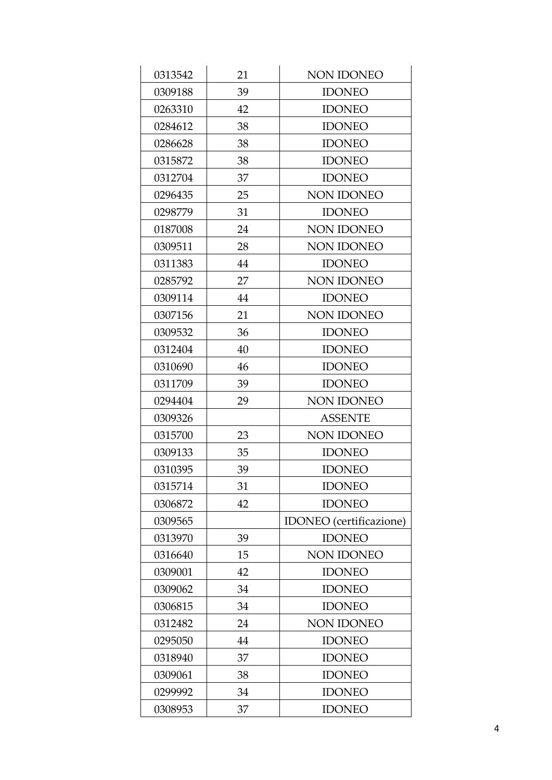| 0313542 | 21 | <b>NON IDONEO</b>              |
|---------|----|--------------------------------|
| 0309188 | 39 | <b>IDONEO</b>                  |
| 0263310 | 42 | <b>IDONEO</b>                  |
| 0284612 | 38 | <b>IDONEO</b>                  |
| 0286628 | 38 | <b>IDONEO</b>                  |
| 0315872 | 38 | <b>IDONEO</b>                  |
| 0312704 | 37 | <b>IDONEO</b>                  |
| 0296435 | 25 | <b>NON IDONEO</b>              |
| 0298779 | 31 | <b>IDONEO</b>                  |
| 0187008 | 24 | NON IDONEO                     |
| 0309511 | 28 | NON IDONEO                     |
| 0311383 | 44 | <b>IDONEO</b>                  |
| 0285792 | 27 | <b>NON IDONEO</b>              |
| 0309114 | 44 | <b>IDONEO</b>                  |
| 0307156 | 21 | <b>NON IDONEO</b>              |
| 0309532 | 36 | <b>IDONEO</b>                  |
| 0312404 | 40 | <b>IDONEO</b>                  |
| 0310690 | 46 | <b>IDONEO</b>                  |
| 0311709 | 39 | <b>IDONEO</b>                  |
| 0294404 | 29 | <b>NON IDONEO</b>              |
| 0309326 |    | <b>ASSENTE</b>                 |
| 0315700 | 23 | NON IDONEO                     |
| 0309133 | 35 | <b>IDONEO</b>                  |
| 0310395 | 39 | <b>IDONEO</b>                  |
| 0315714 | 31 | <b>IDONEO</b>                  |
| 0306872 | 42 | <b>IDONEO</b>                  |
| 0309565 |    | <b>IDONEO</b> (certificazione) |
| 0313970 | 39 | <b>IDONEO</b>                  |
| 0316640 | 15 | NON IDONEO                     |
| 0309001 | 42 | <b>IDONEO</b>                  |
| 0309062 | 34 | <b>IDONEO</b>                  |
| 0306815 | 34 | <b>IDONEO</b>                  |
| 0312482 | 24 | <b>NON IDONEO</b>              |
| 0295050 | 44 | <b>IDONEO</b>                  |
| 0318940 | 37 | <b>IDONEO</b>                  |
| 0309061 | 38 | <b>IDONEO</b>                  |
| 0299992 | 34 | <b>IDONEO</b>                  |
| 0308953 | 37 | <b>IDONEO</b>                  |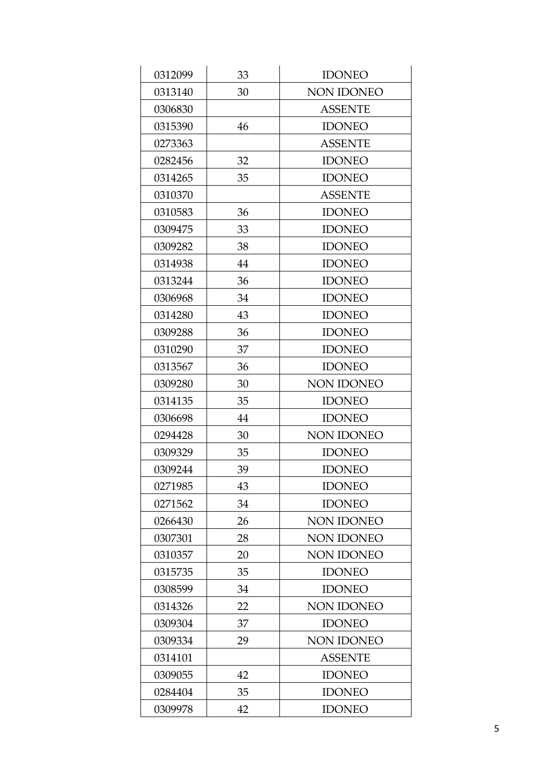| 0312099 | 33 | <b>IDONEO</b>     |
|---------|----|-------------------|
| 0313140 | 30 | NON IDONEO        |
| 0306830 |    | <b>ASSENTE</b>    |
| 0315390 | 46 | <b>IDONEO</b>     |
| 0273363 |    | <b>ASSENTE</b>    |
| 0282456 | 32 | <b>IDONEO</b>     |
| 0314265 | 35 | <b>IDONEO</b>     |
| 0310370 |    | <b>ASSENTE</b>    |
| 0310583 | 36 | <b>IDONEO</b>     |
| 0309475 | 33 | <b>IDONEO</b>     |
| 0309282 | 38 | <b>IDONEO</b>     |
| 0314938 | 44 | <b>IDONEO</b>     |
| 0313244 | 36 | <b>IDONEO</b>     |
| 0306968 | 34 | <b>IDONEO</b>     |
| 0314280 | 43 | <b>IDONEO</b>     |
| 0309288 | 36 | <b>IDONEO</b>     |
| 0310290 | 37 | <b>IDONEO</b>     |
| 0313567 | 36 | <b>IDONEO</b>     |
| 0309280 | 30 | <b>NON IDONEO</b> |
| 0314135 | 35 | <b>IDONEO</b>     |
| 0306698 | 44 | <b>IDONEO</b>     |
| 0294428 | 30 | <b>NON IDONEO</b> |
| 0309329 | 35 | <b>IDONEO</b>     |
| 0309244 | 39 | <b>IDONEO</b>     |
| 0271985 | 43 | <b>IDONEO</b>     |
| 0271562 | 34 | <b>IDONEO</b>     |
| 0266430 | 26 | NON IDONEO        |
| 0307301 | 28 | <b>NON IDONEO</b> |
| 0310357 | 20 | <b>NON IDONEO</b> |
| 0315735 | 35 | <b>IDONEO</b>     |
| 0308599 | 34 | <b>IDONEO</b>     |
| 0314326 | 22 | <b>NON IDONEO</b> |
| 0309304 | 37 | <b>IDONEO</b>     |
| 0309334 | 29 | <b>NON IDONEO</b> |
| 0314101 |    | <b>ASSENTE</b>    |
| 0309055 | 42 | <b>IDONEO</b>     |
| 0284404 | 35 | <b>IDONEO</b>     |
| 0309978 | 42 | <b>IDONEO</b>     |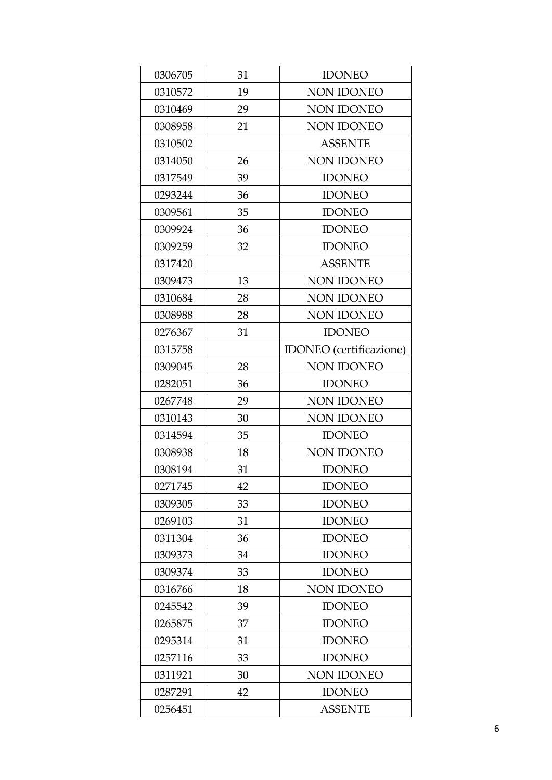| 0306705 | 31 | <b>IDONEO</b>                  |
|---------|----|--------------------------------|
| 0310572 | 19 | NON IDONEO                     |
| 0310469 | 29 | NON IDONEO                     |
| 0308958 | 21 | NON IDONEO                     |
| 0310502 |    | <b>ASSENTE</b>                 |
| 0314050 | 26 | NON IDONEO                     |
| 0317549 | 39 | <b>IDONEO</b>                  |
| 0293244 | 36 | <b>IDONEO</b>                  |
| 0309561 | 35 | <b>IDONEO</b>                  |
| 0309924 | 36 | <b>IDONEO</b>                  |
| 0309259 | 32 | <b>IDONEO</b>                  |
| 0317420 |    | <b>ASSENTE</b>                 |
| 0309473 | 13 | NON IDONEO                     |
| 0310684 | 28 | <b>NON IDONEO</b>              |
| 0308988 | 28 | <b>NON IDONEO</b>              |
| 0276367 | 31 | <b>IDONEO</b>                  |
| 0315758 |    | <b>IDONEO</b> (certificazione) |
| 0309045 | 28 | <b>NON IDONEO</b>              |
| 0282051 | 36 | <b>IDONEO</b>                  |
| 0267748 | 29 | NON IDONEO                     |
| 0310143 | 30 | <b>NON IDONEO</b>              |
| 0314594 | 35 | <b>IDONEO</b>                  |
| 0308938 | 18 | NON IDONEO                     |
| 0308194 | 31 | <b>IDONEO</b>                  |
| 0271745 | 42 | <b>IDONEO</b>                  |
| 0309305 | 33 | <b>IDONEO</b>                  |
| 0269103 | 31 | <b>IDONEO</b>                  |
| 0311304 | 36 | <b>IDONEO</b>                  |
| 0309373 | 34 | <b>IDONEO</b>                  |
| 0309374 | 33 | <b>IDONEO</b>                  |
| 0316766 | 18 | <b>NON IDONEO</b>              |
| 0245542 | 39 | <b>IDONEO</b>                  |
| 0265875 | 37 | <b>IDONEO</b>                  |
| 0295314 | 31 | <b>IDONEO</b>                  |
| 0257116 | 33 | <b>IDONEO</b>                  |
| 0311921 | 30 | NON IDONEO                     |
| 0287291 | 42 | <b>IDONEO</b>                  |
| 0256451 |    | <b>ASSENTE</b>                 |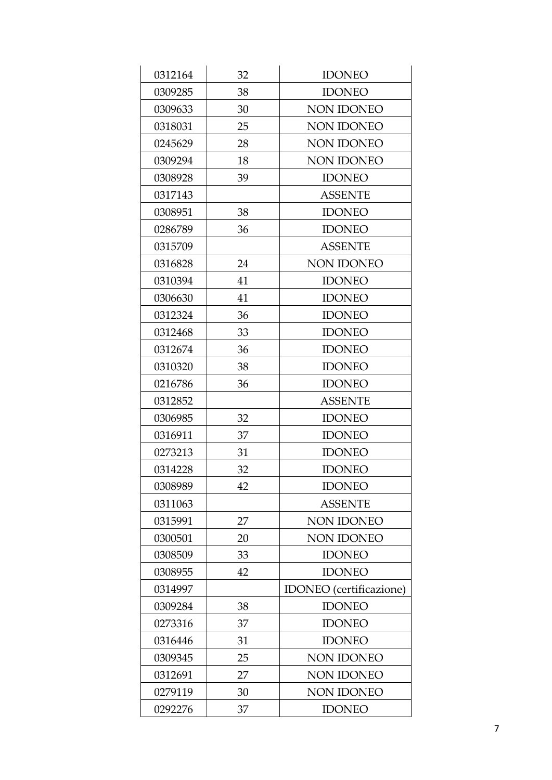| 0312164 | 32 | <b>IDONEO</b>                  |
|---------|----|--------------------------------|
| 0309285 | 38 | <b>IDONEO</b>                  |
| 0309633 | 30 | NON IDONEO                     |
| 0318031 | 25 | NON IDONEO                     |
| 0245629 | 28 | <b>NON IDONEO</b>              |
| 0309294 | 18 | <b>NON IDONEO</b>              |
| 0308928 | 39 | <b>IDONEO</b>                  |
| 0317143 |    | <b>ASSENTE</b>                 |
| 0308951 | 38 | <b>IDONEO</b>                  |
| 0286789 | 36 | <b>IDONEO</b>                  |
| 0315709 |    | <b>ASSENTE</b>                 |
| 0316828 | 24 | <b>NON IDONEO</b>              |
| 0310394 | 41 | <b>IDONEO</b>                  |
| 0306630 | 41 | <b>IDONEO</b>                  |
| 0312324 | 36 | <b>IDONEO</b>                  |
| 0312468 | 33 | <b>IDONEO</b>                  |
| 0312674 | 36 | <b>IDONEO</b>                  |
| 0310320 | 38 | <b>IDONEO</b>                  |
| 0216786 | 36 | <b>IDONEO</b>                  |
| 0312852 |    | <b>ASSENTE</b>                 |
| 0306985 | 32 | <b>IDONEO</b>                  |
| 0316911 | 37 | <b>IDONEO</b>                  |
| 0273213 | 31 | <b>IDONEO</b>                  |
| 0314228 | 32 | <b>IDONEO</b>                  |
| 0308989 | 42 | <b>IDONEO</b>                  |
| 0311063 |    | <b>ASSENTE</b>                 |
| 0315991 | 27 | <b>NON IDONEO</b>              |
| 0300501 | 20 | <b>NON IDONEO</b>              |
| 0308509 | 33 | <b>IDONEO</b>                  |
| 0308955 | 42 | <b>IDONEO</b>                  |
| 0314997 |    | <b>IDONEO</b> (certificazione) |
| 0309284 | 38 | <b>IDONEO</b>                  |
| 0273316 | 37 | <b>IDONEO</b>                  |
| 0316446 | 31 | <b>IDONEO</b>                  |
| 0309345 | 25 | <b>NON IDONEO</b>              |
| 0312691 | 27 | NON IDONEO                     |
| 0279119 | 30 | NON IDONEO                     |
| 0292276 | 37 | <b>IDONEO</b>                  |